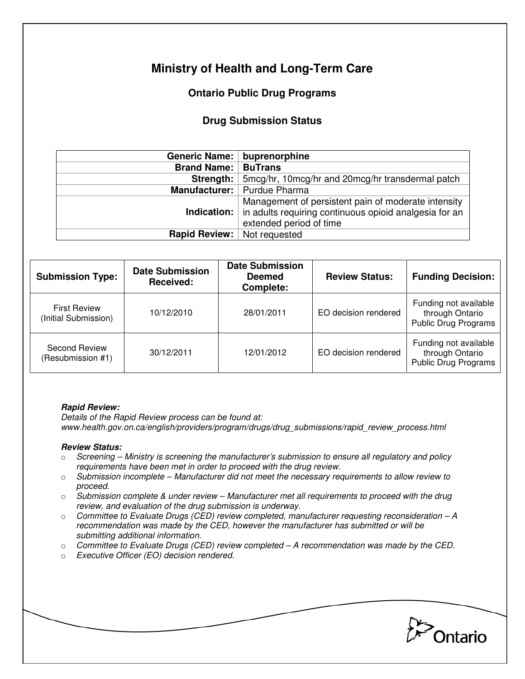# **Ministry of Health and Long-Term Care**

## **Ontario Public Drug Programs**

### **Drug Submission Status**

|                                    | Generic Name:   buprenorphine                                                                                                                               |  |  |
|------------------------------------|-------------------------------------------------------------------------------------------------------------------------------------------------------------|--|--|
| <b>Brand Name:</b>                 | <b>BuTrans</b>                                                                                                                                              |  |  |
| Strength:                          | 5mcg/hr, 10mcg/hr and 20mcg/hr transdermal patch                                                                                                            |  |  |
|                                    | Manufacturer:   Purdue Pharma                                                                                                                               |  |  |
|                                    | Management of persistent pain of moderate intensity<br><b>Indication:</b> in adults requiring continuous opioid analgesia for an<br>extended period of time |  |  |
| <b>Rapid Review:</b> Not requested |                                                                                                                                                             |  |  |

| <b>Submission Type:</b>                     | <b>Date Submission</b><br><b>Received:</b> | <b>Date Submission</b><br><b>Deemed</b><br>Complete: | <b>Review Status:</b> | <b>Funding Decision:</b>                                                |
|---------------------------------------------|--------------------------------------------|------------------------------------------------------|-----------------------|-------------------------------------------------------------------------|
| <b>First Review</b><br>(Initial Submission) | 10/12/2010                                 | 28/01/2011                                           | EO decision rendered  | Funding not available<br>through Ontario<br><b>Public Drug Programs</b> |
| <b>Second Review</b><br>(Resubmission #1)   | 30/12/2011                                 | 12/01/2012                                           | EO decision rendered  | Funding not available<br>through Ontario<br><b>Public Drug Programs</b> |

#### **Rapid Review:**

Details of the Rapid Review process can be found at: www.health.gov.on.ca/english/providers/program/drugs/drug\_submissions/rapid\_review\_process.html

#### **Review Status:**

- $\circ$  Screening Ministry is screening the manufacturer's submission to ensure all regulatory and policy requirements have been met in order to proceed with the drug review.
- $\circ$  Submission incomplete Manufacturer did not meet the necessary requirements to allow review to proceed.
- $\circ$  Submission complete & under review Manufacturer met all requirements to proceed with the drug review, and evaluation of the drug submission is underway.
- $\circ$  Committee to Evaluate Drugs (CED) review completed, manufacturer requesting reconsideration A recommendation was made by the CED, however the manufacturer has submitted or will be submitting additional information.
- $\circ$  Committee to Evaluate Drugs (CED) review completed  $-A$  recommendation was made by the CED.
- o Executive Officer (EO) decision rendered.